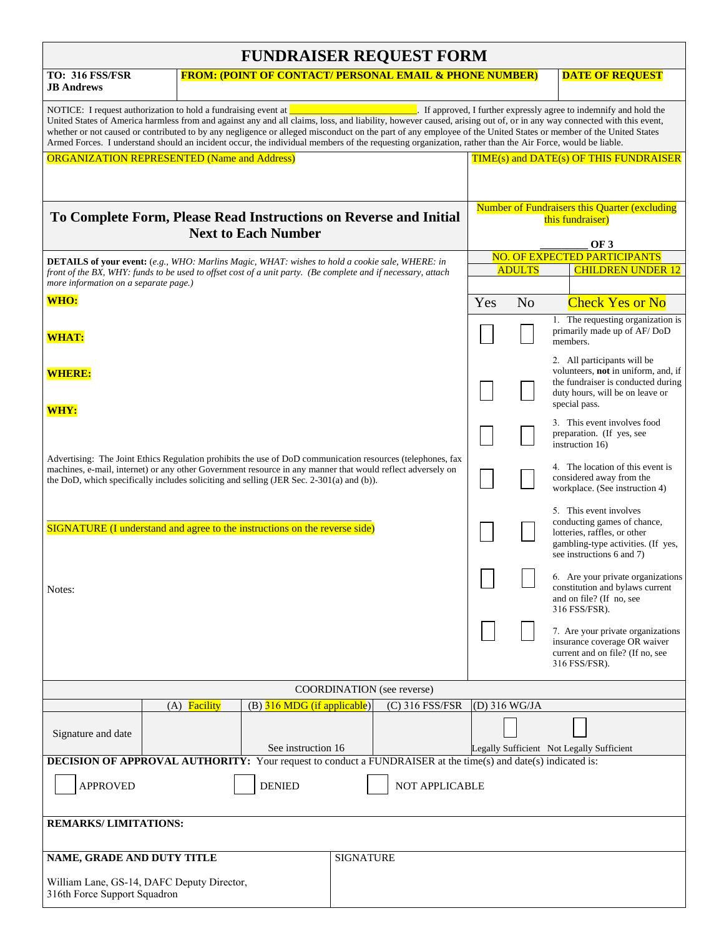| <b>FUNDRAISER REQUEST FORM</b>                                                                                                                                                                                                                                                                                                                                                                                                                                                                                                                                                                                                           |              |                               |  |                   |                                                                          |                                                        |                                                                                                                                                              |  |
|------------------------------------------------------------------------------------------------------------------------------------------------------------------------------------------------------------------------------------------------------------------------------------------------------------------------------------------------------------------------------------------------------------------------------------------------------------------------------------------------------------------------------------------------------------------------------------------------------------------------------------------|--------------|-------------------------------|--|-------------------|--------------------------------------------------------------------------|--------------------------------------------------------|--------------------------------------------------------------------------------------------------------------------------------------------------------------|--|
| <b>FROM: (POINT OF CONTACT/ PERSONAL EMAIL &amp; PHONE NUMBER)</b><br>TO: 316 FSS/FSR<br><b>JB Andrews</b>                                                                                                                                                                                                                                                                                                                                                                                                                                                                                                                               |              |                               |  |                   |                                                                          |                                                        | <b>DATE OF REQUEST</b>                                                                                                                                       |  |
| If approved, I further expressly agree to indemnify and hold the<br>NOTICE: I request authorization to hold a fundraising event at<br>United States of America harmless from and against any and all claims, loss, and liability, however caused, arising out of, or in any way connected with this event,<br>whether or not caused or contributed to by any negligence or alleged misconduct on the part of any employee of the United States or member of the United States<br>Armed Forces. I understand should an incident occur, the individual members of the requesting organization, rather than the Air Force, would be liable. |              |                               |  |                   |                                                                          |                                                        |                                                                                                                                                              |  |
| <b>ORGANIZATION REPRESENTED (Name and Address)</b>                                                                                                                                                                                                                                                                                                                                                                                                                                                                                                                                                                                       |              |                               |  |                   | <b>TIME(s) and DATE(s) OF THIS FUNDRAISER</b>                            |                                                        |                                                                                                                                                              |  |
|                                                                                                                                                                                                                                                                                                                                                                                                                                                                                                                                                                                                                                          |              |                               |  |                   |                                                                          |                                                        |                                                                                                                                                              |  |
| To Complete Form, Please Read Instructions on Reverse and Initial<br><b>Next to Each Number</b>                                                                                                                                                                                                                                                                                                                                                                                                                                                                                                                                          |              |                               |  |                   | <b>Number of Fundraisers this Quarter (excluding</b><br>this fundraiser) |                                                        |                                                                                                                                                              |  |
|                                                                                                                                                                                                                                                                                                                                                                                                                                                                                                                                                                                                                                          |              |                               |  |                   |                                                                          | OF <sub>3</sub><br><b>NO. OF EXPECTED PARTICIPANTS</b> |                                                                                                                                                              |  |
| <b>DETAILS of your event:</b> (e.g., WHO: Marlins Magic, WHAT: wishes to hold a cookie sale, WHERE: in<br>front of the BX, WHY: funds to be used to offset cost of a unit party. (Be complete and if necessary, attach<br>more information on a separate page.)                                                                                                                                                                                                                                                                                                                                                                          |              |                               |  |                   |                                                                          | <b>ADULTS</b>                                          | <b>CHILDREN UNDER 12</b>                                                                                                                                     |  |
| WHO:                                                                                                                                                                                                                                                                                                                                                                                                                                                                                                                                                                                                                                     |              |                               |  |                   | Yes                                                                      | N <sub>o</sub>                                         | <b>Check Yes or No</b>                                                                                                                                       |  |
| <b>WHAT:</b>                                                                                                                                                                                                                                                                                                                                                                                                                                                                                                                                                                                                                             |              |                               |  |                   |                                                                          |                                                        | 1. The requesting organization is<br>primarily made up of AF/DoD<br>members.                                                                                 |  |
| <b>WHERE:</b><br><b>WHY:</b>                                                                                                                                                                                                                                                                                                                                                                                                                                                                                                                                                                                                             |              |                               |  |                   |                                                                          |                                                        | 2. All participants will be<br>volunteers, not in uniform, and, if<br>the fundraiser is conducted during<br>duty hours, will be on leave or<br>special pass. |  |
| Advertising: The Joint Ethics Regulation prohibits the use of DoD communication resources (telephones, fax<br>machines, e-mail, internet) or any other Government resource in any manner that would reflect adversely on<br>the DoD, which specifically includes soliciting and selling (JER Sec. 2-301(a) and (b)).                                                                                                                                                                                                                                                                                                                     |              |                               |  |                   |                                                                          |                                                        | 3. This event involves food<br>preparation. (If yes, see<br>instruction 16)                                                                                  |  |
|                                                                                                                                                                                                                                                                                                                                                                                                                                                                                                                                                                                                                                          |              |                               |  |                   |                                                                          |                                                        | 4. The location of this event is<br>considered away from the<br>workplace. (See instruction 4)                                                               |  |
| SIGNATURE (I understand and agree to the instructions on the reverse side)                                                                                                                                                                                                                                                                                                                                                                                                                                                                                                                                                               |              |                               |  |                   |                                                                          |                                                        | 5. This event involves<br>conducting games of chance,<br>lotteries, raffles, or other<br>gambling-type activities. (If yes,<br>see instructions 6 and 7)     |  |
| Notes:                                                                                                                                                                                                                                                                                                                                                                                                                                                                                                                                                                                                                                   |              |                               |  |                   |                                                                          |                                                        | 6. Are your private organizations<br>constitution and bylaws current<br>and on file? (If no, see<br>316 FSS/FSR).                                            |  |
|                                                                                                                                                                                                                                                                                                                                                                                                                                                                                                                                                                                                                                          |              |                               |  |                   |                                                                          |                                                        | 7. Are your private organizations<br>insurance coverage OR waiver<br>current and on file? (If no, see<br>316 FSS/FSR).                                       |  |
| <b>COORDINATION</b> (see reverse)                                                                                                                                                                                                                                                                                                                                                                                                                                                                                                                                                                                                        |              |                               |  |                   |                                                                          |                                                        |                                                                                                                                                              |  |
|                                                                                                                                                                                                                                                                                                                                                                                                                                                                                                                                                                                                                                          | (A) Facility | $(B)$ 316 MDG (if applicable) |  | $(C)$ 316 FSS/FSR |                                                                          | (D) 316 WG/JA                                          |                                                                                                                                                              |  |
| Signature and date                                                                                                                                                                                                                                                                                                                                                                                                                                                                                                                                                                                                                       |              | See instruction 16            |  |                   |                                                                          |                                                        | Legally Sufficient Not Legally Sufficient                                                                                                                    |  |
| <b>DECISION OF APPROVAL AUTHORITY:</b> Your request to conduct a FUNDRAISER at the time(s) and date(s) indicated is:                                                                                                                                                                                                                                                                                                                                                                                                                                                                                                                     |              |                               |  |                   |                                                                          |                                                        |                                                                                                                                                              |  |
| <b>APPROVED</b><br><b>DENIED</b><br>NOT APPLICABLE                                                                                                                                                                                                                                                                                                                                                                                                                                                                                                                                                                                       |              |                               |  |                   |                                                                          |                                                        |                                                                                                                                                              |  |
| <b>REMARKS/LIMITATIONS:</b>                                                                                                                                                                                                                                                                                                                                                                                                                                                                                                                                                                                                              |              |                               |  |                   |                                                                          |                                                        |                                                                                                                                                              |  |
| <b>SIGNATURE</b><br>NAME, GRADE AND DUTY TITLE                                                                                                                                                                                                                                                                                                                                                                                                                                                                                                                                                                                           |              |                               |  |                   |                                                                          |                                                        |                                                                                                                                                              |  |
| William Lane, GS-14, DAFC Deputy Director,<br>316th Force Support Squadron                                                                                                                                                                                                                                                                                                                                                                                                                                                                                                                                                               |              |                               |  |                   |                                                                          |                                                        |                                                                                                                                                              |  |